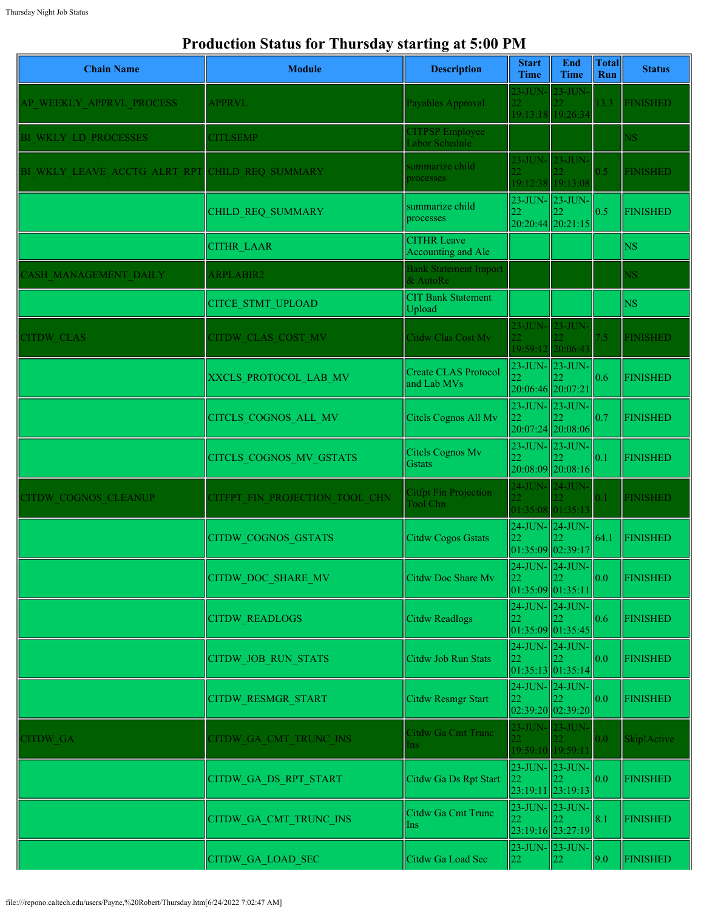## **Production Status for Thursday starting at 5:00 PM**

| <b>Chain Name</b>            | <b>Module</b>                  | <b>Description</b>                         | <b>Start</b><br><b>Time</b> | End<br><b>Time</b>                               | <b>Total</b><br><b>Run</b> | <b>Status</b>   |
|------------------------------|--------------------------------|--------------------------------------------|-----------------------------|--------------------------------------------------|----------------------------|-----------------|
| AP WEEKLY APPRVL PROCESS     | <b>APPRVL</b>                  | Payables Approval                          | 23-JUN-                     | $23$ -JUN $\cdot$<br>19:13:18 19:26:34           | 13.3                       | <b>FINISHED</b> |
| BI WKLY LD PROCESSES         | <b>CITLSEMP</b>                | <b>CITPSP</b> Employee<br>Labor Schedule   |                             |                                                  |                            | <b>NS</b>       |
| BI WKLY LEAVE ACCTG ALRT RPT | CHILD REQ SUMMARY              | summarize child<br>processes               |                             | 23-JUN- 23-JUN-<br>19:12:38 19:13:08             | 0.5                        | <b>FINISHED</b> |
|                              | CHILD_REQ_SUMMARY              | summarize child<br>processes               | 22                          | 23-JUN- 23-JUN-<br>20:20:44 20:21:15             | 0.5                        | <b>FINISHED</b> |
|                              | <b>CITHR LAAR</b>              | <b>CITHR Leave</b><br>Accounting and Ale   |                             |                                                  |                            | <b>NS</b>       |
| <b>CASH MANAGEMENT DAILY</b> | <b>ARPLABIR2</b>               | <b>Bank Statement Import</b><br>& AutoRe   |                             |                                                  |                            | <b>NS</b>       |
|                              | <b>CITCE STMT UPLOAD</b>       | <b>CIT Bank Statement</b><br>Upload        |                             |                                                  |                            | <b>NS</b>       |
| <b>CITDW CLAS</b>            | CITDW CLAS COST MV             | Citdw Clas Cost Mv                         |                             | 23-JUN- 23-JUN-<br>19:59:12 20:06:43             | 7.5                        | <b>FINISHED</b> |
|                              | XXCLS_PROTOCOL_LAB_MV          | <b>Create CLAS Protocol</b><br>and Lab MVs | 20:06:46 20:07:21           | 23-JUN- 23-JUN-                                  | 0.6                        | <b>FINISHED</b> |
|                              | CITCLS COGNOS ALL MV           | Citcls Cognos All Mv                       | 22                          | $23$ -JUN- $23$ -JUN-<br>$20:07:24$ 20:08:06     | 0.7                        | <b>FINISHED</b> |
|                              | CITCLS_COGNOS_MV_GSTATS        | Citels Cognos Mv<br><b>Gstats</b>          | 22                          | 23-JUN- 23-JUN-<br>20:08:09 20:08:16             | 0.1                        | <b>FINISHED</b> |
| CITDW COGNOS CLEANUP         | CITFPT FIN PROJECTION TOOL CHN | <b>Citfpt Fin Projection</b><br>Tool Chn   | $24$ -JUN- $24$ -JUN-       | 01:35:08 01:35:13                                | 0.1                        | <b>FINISHED</b> |
|                              | <b>CITDW COGNOS GSTATS</b>     | Citdw Cogos Gstats                         | 22                          | 24-JUN- 24-JUN-<br> 01:35:09 02:39:17            | 64.1                       | <b>FINISHED</b> |
|                              | <b>CITDW DOC SHARE MV</b>      | Citdw Doc Share Mv                         | 22                          | $24$ -JUN- $24$ -JUN-<br>22<br>01:35:09 01:35:11 | 0.0                        | <b>FINISHED</b> |
|                              | <b>CITDW READLOGS</b>          | Citdw Readlogs                             | 22                          | $24$ -JUN- $\vert$ 24-JUN-<br> 01:35:09 01:35:45 | 0.6                        | <b>FINISHED</b> |
|                              | CITDW_JOB_RUN_STATS            | Citdw Job Run Stats                        | 22                          | $24$ -JUN- $24$ -JUN-<br> 01:35:13 01:35:14      | 0.0                        | <b>FINISHED</b> |
|                              | CITDW_RESMGR_START             | <b>Citdw Resmgr Start</b>                  | 22                          | $24$ -JUN- $24$ -JUN-<br>02:39:20 02:39:20       | 0.0                        | <b>FINISHED</b> |
| <b>CITDW GA</b>              | CITDW GA CMT TRUNC INS         | Citdw Ga Cmt Trunc<br>Ins:                 |                             | 23-JUN- 23-JUN-<br>19:59:10 19:59:11             | 0.0                        | Skip!Active     |
|                              | CITDW_GA_DS_RPT_START          | Citdw Ga Ds Rpt Start                      | 22                          | 23-JUN- 23-JUN-<br>23:19:11 23:19:13             | 0.0                        | <b>FINISHED</b> |
|                              | CITDW GA CMT TRUNC INS         | Citdw Ga Cmt Trunc<br>Ins                  | 22                          | 23-JUN- 23-JUN-<br>23:19:16 23:27:19             | 8.1                        | <b>FINISHED</b> |
|                              | <b>CITDW GA LOAD SEC</b>       | Citdw Ga Load Sec                          | 22                          | 23-JUN- 23-JUN-<br>22                            | 9.0                        | <b>FINISHED</b> |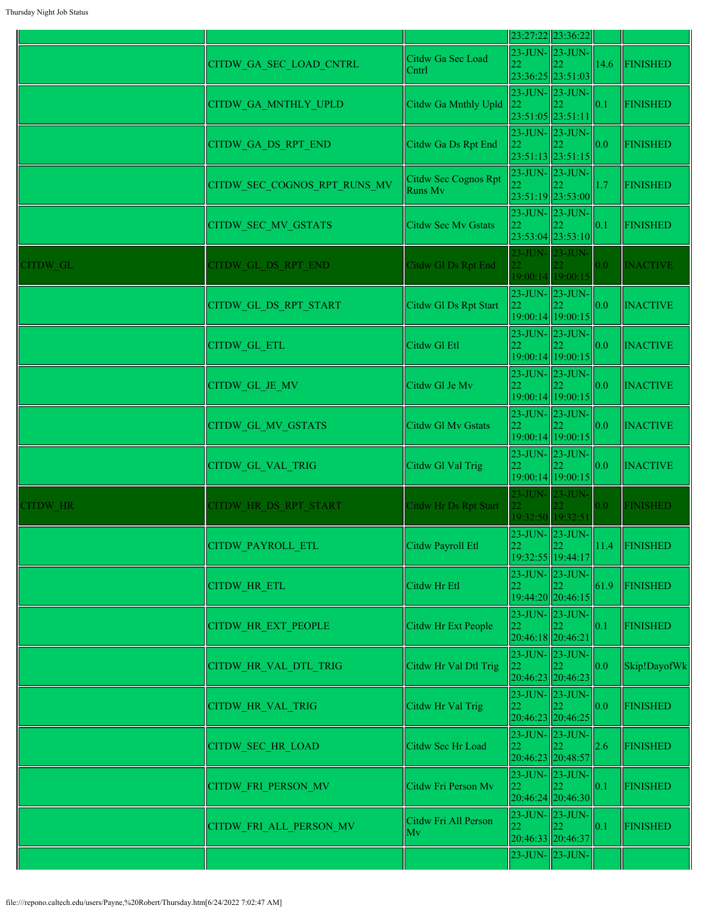|          |                              |                                        |                                            | 23:27:22 23:36:22                                |                  |                 |
|----------|------------------------------|----------------------------------------|--------------------------------------------|--------------------------------------------------|------------------|-----------------|
|          | CITDW GA SEC LOAD CNTRL      | Citdw Ga Sec Load<br>Cntrl             | 22                                         | 23-JUN- 23-JUN-<br>23:36:25 23:51:03             | 14.6             | <b>FINISHED</b> |
|          | CITDW GA MNTHLY UPLD         | Citdw Ga Mnthly Upld                   | 23-JUN- 23-JUN-<br>22<br>23:51:05 23:51:11 |                                                  | 0.1              | <b>FINISHED</b> |
|          | CITDW GA DS RPT END          | Citdw Ga Ds Rpt End                    | 22                                         | 23-JUN- 23-JUN-<br>23:51:13 23:51:15             | 0.0              | <b>FINISHED</b> |
|          | CITDW SEC COGNOS RPT RUNS MV | Citdw Sec Cognos Rpt<br><b>Runs Mv</b> | 22                                         | 23-JUN- 23-JUN-<br>23:51:19 23:53:00             | 1.7              | <b>FINISHED</b> |
|          | CITDW_SEC_MV_GSTATS          | Citdw Sec Mv Gstats                    | 22                                         | 23-JUN- 23-JUN-<br>23:53:04 23:53:10             | 0.1              | <b>FINISHED</b> |
| CITDW GL | CITDW GL DS RPT END          | Citdw Gl Ds Rpt End                    | 23-JUN- 23-JUN-<br>22                      | 19:00:14 19:00:15                                | 0.0              | <b>INACTIVE</b> |
|          | CITDW GL DS RPT START        | Citdw Gl Ds Rpt Start                  | 22                                         | 23-JUN- 23-JUN-<br>19:00:14 19:00:15             | 0.0              | <b>INACTIVE</b> |
|          | <b>CITDW GL ETL</b>          | Citdw Gl Etl                           | 22                                         | $23$ -JUN- $\vert$ 23-JUN-<br>19:00:14 19:00:15  | 0.0              | <b>INACTIVE</b> |
|          | CITDW GL JE MV               | Citdw Gl Je Mv                         | 22                                         | $23$ -JUN- $\vert$ 23-JUN-<br>19:00:14 19:00:15  | 0.0              | <b>INACTIVE</b> |
|          | CITDW_GL_MV_GSTATS           | Citdw Gl My Gstats                     | 22                                         | 23-JUN- 23-JUN-<br> 19:00:14 19:00:15            | 0.0              | <b>INACTIVE</b> |
|          | CITDW GL VAL TRIG            | Citdw Gl Val Trig                      | 22                                         | $23$ -JUN- $\vert$ 23-JUN-<br>19:00:14 19:00:15  | 0.0              | <b>INACTIVE</b> |
| CITDW HR | CITDW HR DS RPT START        | <b>Citdw Hr Ds Rpt Start</b>           | 22.<br>19:32:50 19:32:51                   | 23-JUN- 23-JUN-                                  | 0.0 <sub>1</sub> | <b>FINISHED</b> |
|          | <b>CITDW PAYROLL ETL</b>     | Citdw Payroll Etl                      | $23$ -JUN- $23$ -JUN-<br>$ 22\rangle$      | 1122<br>19:32:55 19:44:17                        | 11.4             | FINISHED        |
|          | <b>CITDW HR ETL</b>          | Citdw Hr Etl                           | 22                                         | $23$ -JUN- $\vert 23$ -JUN-<br>19:44:20 20:46:15 | 61.9             | <b>FINISHED</b> |
|          | CITDW HR EXT PEOPLE          | Citdw Hr Ext People                    | 23-JUN- 23-JUN-<br>22<br>20:46:18 20:46:21 |                                                  | 0.1              | <b>FINISHED</b> |
|          | CITDW HR VAL DTL TRIG        | Citdw Hr Val Dtl Trig                  | 23-JUN-23-JUN-<br>22<br>20:46:23 20:46:23  |                                                  | 0.0              | Skip!DayofWk    |
|          | <b>CITDW HR VAL TRIG</b>     | Citdw Hr Val Trig                      | 22                                         | $23$ -JUN- $23$ -JUN-<br>20:46:23 20:46:25       | 0.0              | <b>FINISHED</b> |
|          | <b>CITDW SEC HR LOAD</b>     | Citdw Sec Hr Load                      | 23-JUN-23-JUN-<br>22<br>20:46:23 20:48:57  |                                                  | 2.6              | <b>FINISHED</b> |
|          | <b>CITDW FRI PERSON MV</b>   | Citdw Fri Person Mv                    | 22                                         | $23$ -JUN- $\vert$ 23-JUN-<br>20:46:24 20:46:30  | 0.1              | <b>FINISHED</b> |
|          | CITDW_FRI_ALL_PERSON_MV      | Citdw Fri All Person<br>Mv             | 22                                         | 23-JUN- 23-JUN-<br>20:46:33 20:46:37             | 0.1              | <b>FINISHED</b> |
|          |                              |                                        | 23-JUN- 23-JUN-                            |                                                  |                  |                 |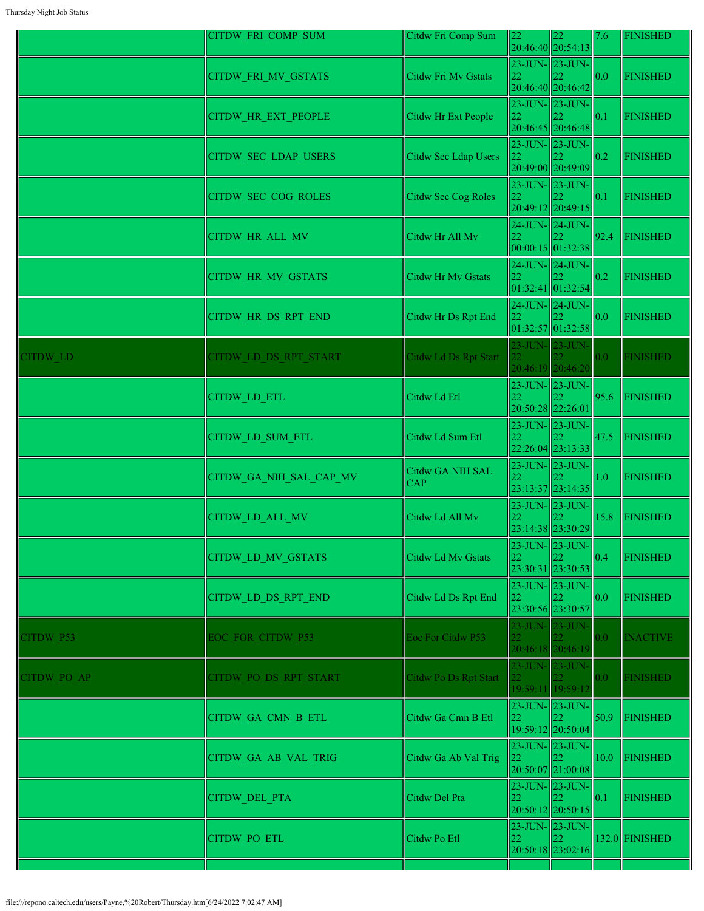|             | CITDW_FRI_COMP_SUM         | Citdw Fri Comp Sum           | 22              | $ 22\rangle$<br>20:46:40 20:54:13                      | 7.6  | <b>FINISHED</b> |
|-------------|----------------------------|------------------------------|-----------------|--------------------------------------------------------|------|-----------------|
|             | CITDW_FRI_MV_GSTATS        | Citdw Fri Mv Gstats          | 22              | $23$ -JUN- $\vert 23$ -JUN-<br>20:46:40 20:46:42       | 0.0  | <b>FINISHED</b> |
|             | CITDW_HR_EXT_PEOPLE        | Citdw Hr Ext People          | 22              | $23$ -JUN- $\vert 23$ -JUN-<br>20:46:45 20:46:48       | 0.1  | <b>FINISHED</b> |
|             | CITDW_SEC_LDAP_USERS       | Citdw Sec Ldap Users         | 22              | $23$ -JUN- $23$ -JUN-<br>20:49:00 20:49:09             | 0.2  | <b>FINISHED</b> |
|             | CITDW_SEC_COG_ROLES        | Citdw Sec Cog Roles          | 22              | 23-JUN- 23-JUN-<br>20:49:12 20:49:15                   | 0.1  | <b>FINISHED</b> |
|             | CITDW_HR_ALL_MV            | Citdw Hr All Mv              | 22              | 24-JUN- 24-JUN-<br> 00:00:15 01:32:38                  | 92.4 | <b>FINISHED</b> |
|             | <b>CITDW HR MV GSTATS</b>  | Citdw Hr Mv Gstats           | 22              | $24$ -JUN- $\vert$ 24-JUN-<br> 01:32:41 01:32:54       | 0.2  | <b>FINISHED</b> |
|             | CITDW_HR_DS_RPT_END        | Citdw Hr Ds Rpt End          | 22              | $24$ -JUN- $\vert$ 24-JUN-<br>01:32:57 01:32:58        | 0.0  | <b>FINISHED</b> |
| CITDW LD    | CITDW LD DS RPT START      | Citdw Ld Ds Rpt Start        |                 | 23-JUN- 23-JUN-<br>20:46:19 20:46:20                   | 0.0  | <b>FINISHED</b> |
|             | <b>CITDW LD ETL</b>        | Citdw Ld Etl                 |                 | 23-JUN- 23-JUN-<br>20:50:28 22:26:01                   | 95.6 | <b>FINISHED</b> |
|             | CITDW LD SUM ETL           | Citdw Ld Sum Etl             |                 | $23$ -JUN- $\vert$ 23-JUN-<br>22:26:04 23:13:33        | 47.5 | <b>FINISHED</b> |
|             | CITDW_GA_NIH_SAL_CAP_MV    | Citdw GA NIH SAL<br> CAP     |                 | $23$ -JUN- $\vert$ 23-JUN-<br>23:13:37 23:14:35        | 1.0  | <b>FINISHED</b> |
|             | CITDW_LD_ALL_MV            | Citdw Ld All Mv              |                 | $23$ -JUN- $\vert$ 23-JUN-<br>23:14:38 23:30:29        | 15.8 | <b>FINISHED</b> |
|             | <b>CITDW LD MV GSTATS</b>  | Citdw Ld Mv Gstats           | 22              | 23-JUN- 23-JUN-<br> 22<br>23:30:31 23:30:53            | 0.4  | <b>FINISHED</b> |
|             | <b>CITDW LD DS RPT END</b> | Citdw Ld Ds Rpt End          | 22              | 23-JUN- 23-JUN-<br>23:30:56 23:30:57                   | 0.0  | <b>FINISHED</b> |
| CITDW P53   | EOC FOR CITDW P53          | Eoc For Citdw P53            | 23-JUN- 23-JUN- | 20:46:18 20:46:19                                      | 0.0  | <b>INACTIVE</b> |
| CITDW PO AP | CITDW PO DS RPT START      | <b>Citdw Po Ds Rpt Start</b> | 23-JUN- 23-JUN- | 19:59:11 19:59:12                                      | 0.0  | <b>FINISHED</b> |
|             | CITDW_GA_CMN_B_ETL         | Citdw Ga Cmn B Etl           | 22              | $23$ -JUN- $\vert$ 23-JUN-<br>19:59:12 20:50:04        | 50.9 | <b>FINISHED</b> |
|             | CITDW_GA_AB_VAL_TRIG       | Citdw Ga Ab Val Trig         | 22              | $23$ -JUN- $23$ -JUN-<br>20:50:07 21:00:08             | 10.0 | <b>FINISHED</b> |
|             | CITDW_DEL_PTA              | Citdw Del Pta                | 22              | $23$ -JUN- $\vert$ 23-JUN-<br>22.<br>20:50:12 20:50:15 | 0.1  | <b>FINISHED</b> |
|             | CITDW_PO_ETL               | Citdw Po Etl                 | 22              | $23$ -JUN- $\vert$ 23-JUN-<br>20:50:18 23:02:16        |      | 132.0 FINISHED  |
|             |                            |                              |                 |                                                        |      |                 |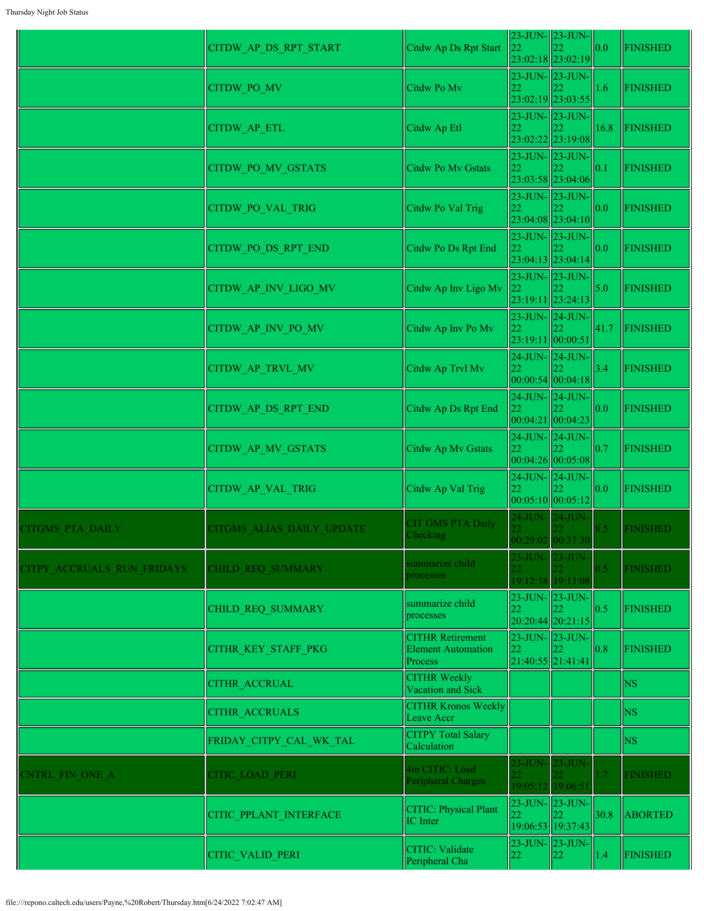|                            | CITDW_AP_DS_RPT_START     | Citdw Ap Ds Rpt Start                                           | 22                          | 23-JUN- 23-JUN-<br>23:02:18 23:02:19                       | 0.0           | <b>FINISHED</b> |
|----------------------------|---------------------------|-----------------------------------------------------------------|-----------------------------|------------------------------------------------------------|---------------|-----------------|
|                            | <b>CITDW PO MV</b>        | Citdw Po Mv                                                     | 22                          | 23-JUN- 23-JUN-<br>23:02:19 23:03:55                       | 1.6           | FINISHED        |
|                            | CITDW_AP_ETL              | Citdw Ap Etl                                                    | 22                          | 23-JUN- 23-JUN-<br>23:02:22 23:19:08                       | 16.8          | FINISHED        |
|                            | <b>CITDW PO MV GSTATS</b> | Citdw Po Mv Gstats                                              | $23$ -JUN- $23$ -JUN-<br>22 |                                                            | 0.1           | <b>FINISHED</b> |
|                            | <b>CITDW PO VAL TRIG</b>  | Citdw Po Val Trig                                               | 22                          | 23:03:58 23:04:06<br>23-JUN- 23-JUN-<br>23:04:08 23:04:10  | 0.0           | <b>FINISHED</b> |
|                            | CITDW PO DS RPT END       | Citdw Po Ds Rpt End                                             | 22                          | $23$ -JUN- $23$ -JUN-<br>23:04:13 23:04:14                 | 0.0           | <b>FINISHED</b> |
|                            | CITDW AP INV LIGO MV      | Citdw Ap Inv Ligo Mv                                            | 23-JUN- 23-JUN-<br>22       |                                                            | 5.0           | <b>FINISHED</b> |
|                            | CITDW AP INV PO MV        | Citdw Ap Inv Po Mv                                              | 22                          | 23:19:11 23:24:13<br>23-JUN- 24-JUN-                       | 41.7          | FINISHED        |
|                            | CITDW AP TRVL MV          | Citdw Ap Trvl Mv                                                | $24$ -JUN- $24$ -JUN-<br>22 | 23:19:11 00:00:51                                          | 3.4           | <b>FINISHED</b> |
|                            | CITDW AP DS RPT END       | Citdw Ap Ds Rpt End                                             | 24-JUN- 24-JUN-<br>22       | 00:00:54 00:04:18                                          | 0.0           | <b>FINISHED</b> |
|                            | CITDW_AP_MV_GSTATS        | Citdw Ap Mv Gstats                                              | 00:04:21 00:04:23<br>22     | $24$ -JUN- $24$ -JUN-                                      | 0.7           | <b>FINISHED</b> |
|                            | CITDW AP VAL TRIG         | Citdw Ap Val Trig                                               | 22                          | 00:04:26 00:05:08<br>$24$ -JUN- $\vert$ 24-JUN-            | 0.0           | <b>FINISHED</b> |
| CITGMS PTA DAILY           | CITGMS ALIAS DAILY UPDATE | CIT GMS PTA Daily<br>Checking                                   |                             | 00:05:10 00:05:12 <br>24-JUN- 24-JUN-<br>00:29:02 00:37:30 | 8.5           | <b>FINISHED</b> |
| CITPY ACCRUALS RUN FRIDAYS | CHILD REQ SUMMARY         | summarize child<br>processes                                    |                             | 23-JUN- 23-JUN-<br>19:12:38 19:13:08                       | 0.5           | <b>FINISHED</b> |
|                            | CHILD REQ SUMMARY         | summarize child<br>processes                                    | 22                          | 23-JUN-23-JUN-<br>20:20:44 20:21:15                        | 0.5           | <b>FINISHED</b> |
|                            | CITHR KEY STAFF PKG       | <b>CITHR Retirement</b><br><b>Element Automation</b><br>Process | 22<br>21:40:55 21:41:41     | $23$ -JUN- $\vert$ 23-JUN-                                 | 0.8           | <b>FINISHED</b> |
|                            | <b>CITHR ACCRUAL</b>      | <b>CITHR Weekly</b><br>Vacation and Sick                        |                             |                                                            |               | <b>NS</b>       |
|                            | <b>CITHR ACCRUALS</b>     | <b>CITHR Kronos Weekly</b><br>Leave Accr                        |                             |                                                            |               | <b>NS</b>       |
|                            | FRIDAY_CITPY_CAL_WK_TAL   | <b>CITPY Total Salary</b><br>Calculation                        |                             |                                                            |               | <b>NS</b>       |
| <b>CNTRL FIN ONE A</b>     | <b>CITIC LOAD PERI</b>    | 4m CITIC: Load<br>Peripheral Charges                            | 23-JUN- 23-JUN-             | 19:05:12 19:06:51                                          | 1.7           | <b>FINISHED</b> |
|                            | CITIC PPLANT INTERFACE    | CITIC: Physical Plant<br>IC Inter                               | 22                          | $23$ -JUN- $\vert$ 23-JUN-<br>22.<br>19:06:53 19:37:43     | 30.8          | <b>ABORTED</b>  |
|                            | CITIC_VALID_PERI          | CITIC: Validate<br>Peripheral Cha                               | 22                          | $23$ -JUN- $\vert$ 23-JUN-<br>$ 22\rangle$                 | $ 1.4\rangle$ | <b>FINISHED</b> |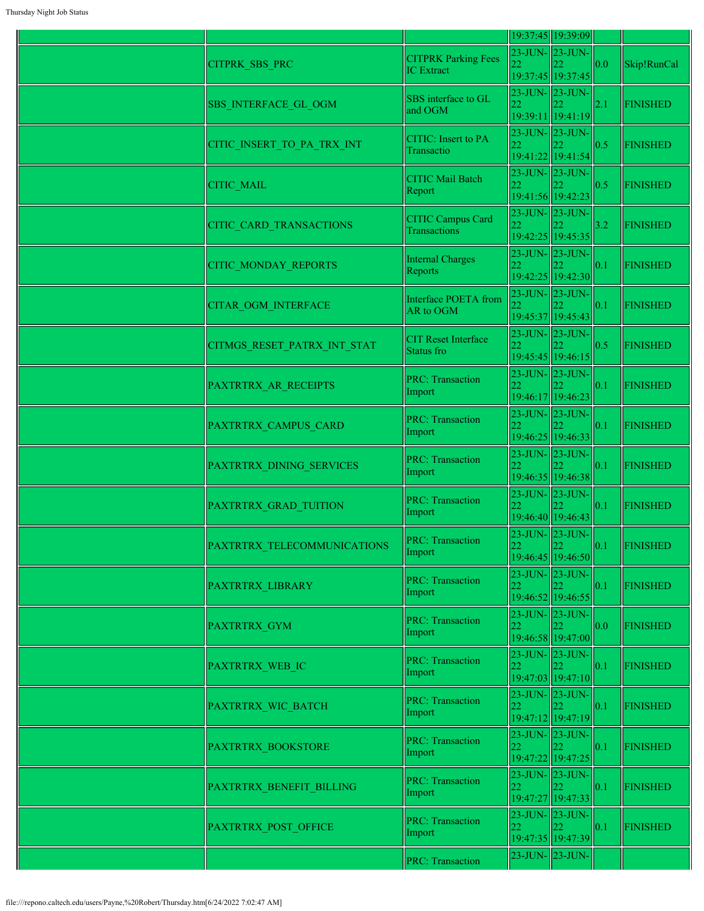|                                |                                                 |                                   | 19:37:45 19:39:09                                        |                   |                 |
|--------------------------------|-------------------------------------------------|-----------------------------------|----------------------------------------------------------|-------------------|-----------------|
| CITPRK_SBS_PRC                 | <b>CITPRK Parking Fees</b><br><b>IC</b> Extract | $23$ -JUN- $23$ -JUN-             | 19:37:45 19:37:45                                        | 0.0               | Skip!RunCal     |
| <b>SBS INTERFACE GL OGM</b>    | SBS interface to GL<br>and OGM                  | $23$ -JUN- $\vert$ 23-JUN-        | 19:39:11 19:41:19                                        | 2.1               | <b>FINISHED</b> |
| CITIC_INSERT_TO_PA_TRX_INT     | <b>CITIC:</b> Insert to PA<br>Transactio        |                                   | $23$ -JUN- $\vert 23$ -JUN- $\vert$<br>19:41:22 19:41:54 | 0.5               | <b>FINISHED</b> |
| <b>CITIC MAIL</b>              | <b>CITIC Mail Batch</b><br>Report               |                                   | 23-JUN-23-JUN-<br>19:41:56 19:42:23                      | 0.5               | <b>FINISHED</b> |
| <b>CITIC CARD TRANSACTIONS</b> | <b>CITIC Campus Card</b><br><b>Transactions</b> | $23$ -JUN- $23$ -JUN-<br>22       | 19:42:25 19:45:35                                        | 3.2               | <b>FINISHED</b> |
| <b>CITIC MONDAY REPORTS</b>    | Internal Charges<br>Reports                     | 23-JUN- 23-JUN-<br>22             | 19:42:25 19:42:30                                        | 0.1               | <b>FINISHED</b> |
| <b>CITAR OGM INTERFACE</b>     | Interface POETA from<br>AR to OGM               | $23$ -JUN- $\vert 23$ -JUN-       | 19:45:37 19:45:43                                        | $\vert$ 0.1       | <b>FINISHED</b> |
| CITMGS RESET PATRX INT STAT    | <b>CIT Reset Interface</b><br>Status fro        |                                   | $23$ -JUN- $\vert 23$ -JUN- $\vert$<br>19:45:45 19:46:15 | $\parallel$ 0.5   | <b>FINISHED</b> |
| PAXTRTRX_AR_RECEIPTS           | <b>PRC: Transaction</b><br>Import               | $23$ -JUN- $\vert$ 23-JUN-<br>22  | 19:46:17 19:46:23                                        | $\parallel$ 0.1   | <b>FINISHED</b> |
| PAXTRTRX_CAMPUS_CARD           | <b>PRC: Transaction</b><br>Import               | 23-JUN- 23-JUN-                   | 19:46:25 19:46:33                                        | 0.1               | <b>FINISHED</b> |
| PAXTRTRX DINING SERVICES       | <b>PRC: Transaction</b><br>Import               | $\overline{22}$                   | 23-JUN-23-JUN-<br>19:46:35 19:46:38                      | 0.1               | <b>FINISHED</b> |
| PAXTRTRX GRAD TUITION          | <b>PRC: Transaction</b><br>Import               | $23$ -JUN- $\vert 23$ -JUN-       | 19:46:40 19:46:43                                        | $\vert$ 0.1       | <b>FINISHED</b> |
| PAXTRTRX TELECOMMUNICATIONS    | <b>PRC: Transaction</b><br>Import               | $23$ -JUN- $\vert 23$ -JUN-<br>22 | 22<br>19:46:45 19:46:50                                  | $\vert$ 0.1       | <b>FINISHED</b> |
| PAXTRTRX LIBRARY               | <b>PRC: Transaction</b><br>Import               | $23$ -JUN- $\vert$ 23-JUN-<br>22  | 19:46:52 19:46:55                                        | $\vert 0.1 \vert$ | <b>FINISHED</b> |
| <b>PAXTRTRX GYM</b>            | <b>PRC: Transaction</b><br>Import               | $23$ -JUN- $\vert$ 23-JUN-<br>22  | 19:46:58 19:47:00                                        | 0.0               | <b>FINISHED</b> |
| PAXTRTRX WEB IC                | <b>PRC: Transaction</b><br>Import               |                                   | 23-JUN-23-JUN-<br>19:47:03 19:47:10                      | $\vert$ 0.1       | <b>FINISHED</b> |
| PAXTRTRX WIC BATCH             | <b>PRC: Transaction</b><br>Import               | 23-JUN- 23-JUN-<br>22             | 19:47:12 19:47:19                                        | $\vert$ 0.1       | <b>FINISHED</b> |
| PAXTRTRX BOOKSTORE             | <b>PRC: Transaction</b><br>Import               | $23$ -JUN- $\vert$ 23-JUN-<br>22  | 22<br>19:47:22 19:47:25                                  | $\ 0.1$           | <b>FINISHED</b> |
| PAXTRTRX BENEFIT BILLING       | <b>PRC: Transaction</b><br>Import               | 23-JUN- 23-JUN-<br>22             | 19:47:27 19:47:33                                        | $\parallel$ 0.1   | <b>FINISHED</b> |
| PAXTRTRX POST OFFICE           | <b>PRC: Transaction</b><br>Import               | 22                                | 23-JUN-23-JUN-<br>19:47:35 19:47:39                      | 0.1               | <b>FINISHED</b> |
|                                | <b>PRC: Transaction</b>                         |                                   | 23-JUN-23-JUN-                                           |                   |                 |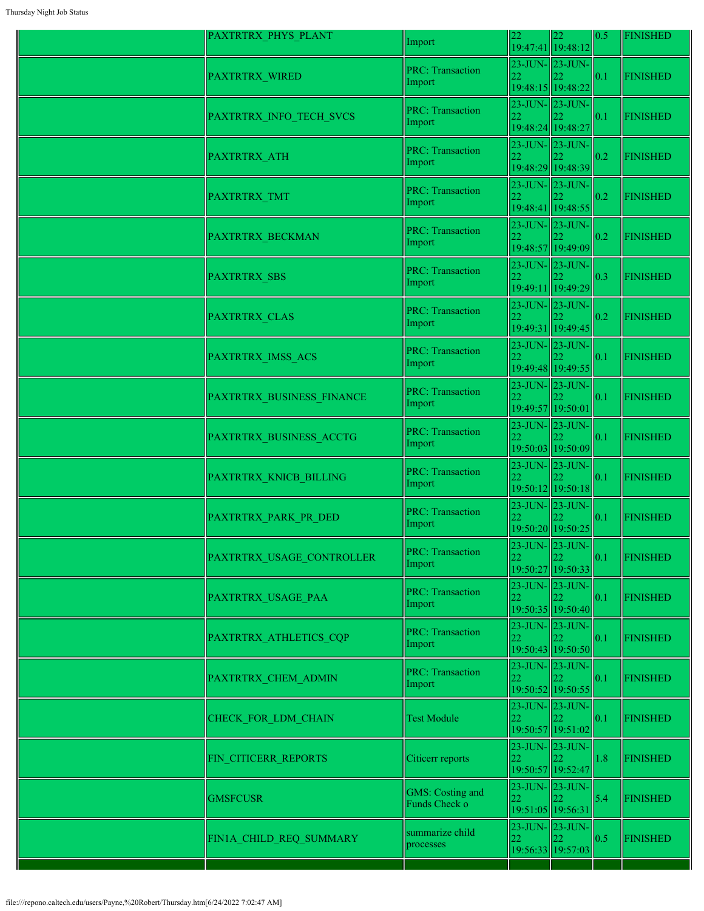| PAXTRTRX_PHYS_PLANT       | Import                                   | 22                                                    | 22<br>19:47:41 19:48:12                         | 0.5 | <b>FINISHED</b> |
|---------------------------|------------------------------------------|-------------------------------------------------------|-------------------------------------------------|-----|-----------------|
| PAXTRTRX_WIRED            | <b>PRC: Transaction</b><br>Import        | 22                                                    | $23$ -JUN- $23$ -JUN-<br>19:48:15 19:48:22      | 0.1 | <b>FINISHED</b> |
| PAXTRTRX_INFO_TECH_SVCS   | <b>PRC: Transaction</b><br>Import        | $23$ -JUN- $\vert$ 23-JUN-<br>22<br>19:48:24 19:48:27 |                                                 | 0.1 | <b>FINISHED</b> |
| <b>PAXTRTRX ATH</b>       | <b>PRC: Transaction</b><br>Import        | 22                                                    | $23$ -JUN- $\vert$ 23-JUN-<br>19:48:29 19:48:39 | 0.2 | <b>FINISHED</b> |
| PAXTRTRX_TMT              | <b>PRC: Transaction</b><br>Import        | 23-JUN- 23-JUN-<br>22                                 | 19:48:41 19:48:55                               | 0.2 | <b>FINISHED</b> |
| PAXTRTRX_BECKMAN          | <b>PRC: Transaction</b><br>Import        | $23$ -JUN- $\ 23$ -JUN-<br>22                         | 19:48:57 19:49:09                               | 0.2 | <b>FINISHED</b> |
| <b>PAXTRTRX SBS</b>       | <b>PRC: Transaction</b><br>Import        | 22                                                    | $23$ -JUN- $23$ -JUN-<br>19:49:11 19:49:29      | 0.3 | <b>FINISHED</b> |
| PAXTRTRX CLAS             | <b>PRC: Transaction</b><br>Import        | 22                                                    | $23$ -JUN- $\vert$ 23-JUN-<br>19:49:31 19:49:45 | 0.2 | <b>FINISHED</b> |
| PAXTRTRX IMSS ACS         | <b>PRC: Transaction</b><br>Import        | 22                                                    | $23$ -JUN- $\vert$ 23-JUN-<br>19:49:48 19:49:55 | 0.1 | <b>FINISHED</b> |
| PAXTRTRX BUSINESS FINANCE | <b>PRC: Transaction</b><br>Import        | 22<br>19:49:57 19:50:01                               | $23$ -JUN- $\vert$ 23-JUN-                      | 0.1 | <b>FINISHED</b> |
| PAXTRTRX BUSINESS ACCTG   | <b>PRC: Transaction</b><br>Import        | $23$ -JUN- $23$ -JUN-                                 | 19:50:03 19:50:09                               | 0.1 | <b>FINISHED</b> |
| PAXTRTRX KNICB BILLING    | <b>PRC: Transaction</b><br>Import        |                                                       | 23-JUN-23-JUN-<br>19:50:12 19:50:18             | 0.1 | <b>FINISHED</b> |
| PAXTRTRX_PARK_PR_DED      | <b>PRC: Transaction</b><br>Import        |                                                       | $23$ -JUN- $\vert$ 23-JUN-<br>19:50:20 19:50:25 | 0.1 | <b>FINISHED</b> |
| PAXTRTRX USAGE CONTROLLER | <b>PRC: Transaction</b><br>Import        | 22                                                    | 23-JUN-123-JUN-<br>19:50:27 19:50:33            | 0.1 | <b>FINISHED</b> |
| PAXTRTRX USAGE PAA        | <b>PRC: Transaction</b><br>Import        | 22.                                                   | 23-JUN-23-JUN-<br>19:50:35 19:50:40             | 0.1 | <b>FINISHED</b> |
| PAXTRTRX ATHLETICS CQP    | <b>PRC: Transaction</b><br>Import        |                                                       | $23$ -JUN- $\vert$ 23-JUN-<br>19:50:43 19:50:50 | 0.1 | <b>FINISHED</b> |
| PAXTRTRX CHEM ADMIN       | <b>PRC: Transaction</b><br>Import        | 22                                                    | $23$ -JUN- $23$ -JUN-<br>19:50:52 19:50:55      | 0.1 | <b>FINISHED</b> |
| CHECK FOR LDM CHAIN       | <b>Test Module</b>                       | 22                                                    | 23-JUN-23-JUN-<br>19:50:57 19:51:02             | 0.1 | <b>FINISHED</b> |
| FIN CITICERR REPORTS      | Citicerr reports                         | 22                                                    | $23$ -JUN- $\vert$ 23-JUN-<br>19:50:57 19:52:47 | 1.8 | <b>FINISHED</b> |
| <b>GMSFCUSR</b>           | <b>GMS:</b> Costing and<br>Funds Check o | 22<br>19:51:05 19:56:31                               | 23-JUN-23-JUN-                                  | 5.4 | <b>FINISHED</b> |
| FIN1A_CHILD_REQ_SUMMARY   | summarize child<br>processes             | $23$ -JUN- $\ 23$ -JUN-<br>22                         | 19:56:33 19:57:03                               | 0.5 | <b>FINISHED</b> |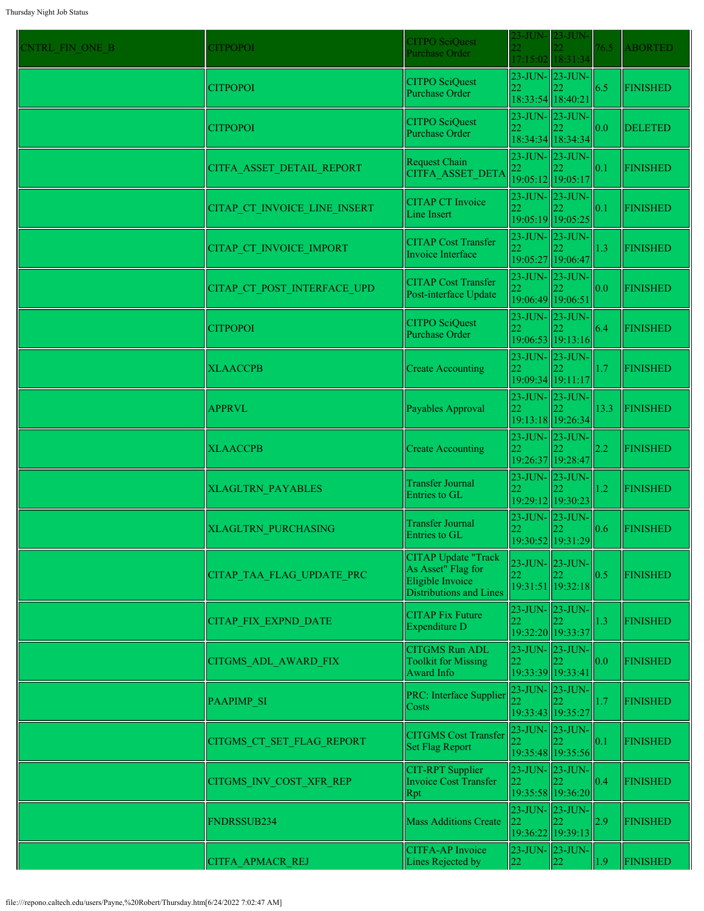| CNTRL FIN ONE B | <b>CITPOPOI</b>              | <b>CITPO SciQuest</b><br>Purchase Order                                                                | 23-JUN-<br>22.                                   | $23$ -JUN-                                      | 76.5 | <b>ABORTED</b>  |
|-----------------|------------------------------|--------------------------------------------------------------------------------------------------------|--------------------------------------------------|-------------------------------------------------|------|-----------------|
|                 |                              |                                                                                                        |                                                  | 17:15:02 18:31:34                               |      |                 |
|                 | <b>CITPOPOI</b>              | <b>CITPO SciQuest</b><br>Purchase Order                                                                | 22<br>18:33:54 18:40:21                          | 23-JUN- 23-JUN-                                 | 6.5  | <b>FINISHED</b> |
|                 | <b>CITPOPOI</b>              | <b>CITPO SciQuest</b><br><b>Purchase Order</b>                                                         | 22                                               | $23$ -JUN- $23$ -JUN-<br>18:34:34 18:34:34      | 0.0  | <b>DELETED</b>  |
|                 | CITFA ASSET DETAIL REPORT    | Request Chain<br>CITFA ASSET DETA                                                                      | 22                                               | $23$ -JUN- $23$ -JUN-                           | 0.1  | <b>FINISHED</b> |
|                 | CITAP CT INVOICE LINE INSERT | <b>CITAP CT Invoice</b><br>Line Insert                                                                 | 19:05:12 19:05:17<br>22                          | $23$ -JUN- $\vert$ 23-JUN-<br>19:05:19 19:05:25 | 0.1  | <b>FINISHED</b> |
|                 | CITAP CT INVOICE IMPORT      | <b>CITAP Cost Transfer</b><br>Invoice Interface                                                        | 23-JUN-23-JUN-<br>22                             | 19:05:27 19:06:47                               | 1.3  | <b>FINISHED</b> |
|                 | CITAP CT POST INTERFACE UPD  | <b>CITAP Cost Transfer</b><br>Post-interface Update                                                    | 23-JUN- 23-JUN-<br>22                            | 19:06:49 19:06:51                               | 0.0  | <b>FINISHED</b> |
|                 | <b>CITPOPOI</b>              | <b>CITPO SciQuest</b><br>Purchase Order                                                                |                                                  | $23$ -JUN- $23$ -JUN-<br>19:06:53 19:13:16      | 6.4  | <b>FINISHED</b> |
|                 | <b>XLAACCPB</b>              | <b>Create Accounting</b>                                                                               | 22<br>19:09:34 19:11:17                          | $23$ -JUN- $\vert$ 23-JUN-                      | 1.7  | <b>FINISHED</b> |
|                 | <b>APPRVL</b>                | Payables Approval                                                                                      | $23$ -JUN- $\ 23$ -JUN-                          | 19:13:18 19:26:34                               | 13.3 | <b>FINISHED</b> |
|                 | <b>XLAACCPB</b>              | <b>Create Accounting</b>                                                                               | $23$ -JUN- $23$ -JUN-<br>22                      | 19:26:37 19:28:47                               | 2.2  | <b>FINISHED</b> |
|                 | <b>XLAGLTRN PAYABLES</b>     | <b>Transfer Journal</b><br>Entries to GL                                                               | 22                                               | $23$ -JUN- $\vert$ 23-JUN-<br>19:29:12 19:30:23 | 1.2  | <b>FINISHED</b> |
|                 | <b>XLAGLTRN PURCHASING</b>   | Transfer Journal<br>Entries to GL                                                                      |                                                  | $23$ -JUN- $\vert$ 23-JUN-<br>19:30:52 19:31:29 | 0.6  | <b>FINISHED</b> |
|                 | CITAP TAA FLAG UPDATE PRC    | <b>CITAP</b> Update "Track<br>As Asset" Flag for<br>Eligible Invoice<br><b>Distributions and Lines</b> | 23-JUN- 23-JUN-<br>22                            | 19:31:51 19:32:18                               | 0.5  | <b>FINISHED</b> |
|                 | <b>CITAP FIX EXPND DATE</b>  | <b>CITAP Fix Future</b><br>Expenditure D                                                               | 23-JUN-23-JUN-<br>22                             | 19:32:20 19:33:37                               | 1.3  | <b>FINISHED</b> |
|                 | <b>CITGMS ADL AWARD FIX</b>  | <b>CITGMS Run ADL</b><br><b>Toolkit for Missing</b><br>Award Info                                      | $23$ -JUN- $23$ -JUN-<br>22<br>19:33:39 19:33:41 |                                                 | 0.0  | <b>FINISHED</b> |
|                 | PAAPIMP_SI                   | PRC: Interface Supplier<br>Costs                                                                       | 23-JUN- 23-JUN-<br>19:33:43 19:35:27             |                                                 | 1.7  | <b>FINISHED</b> |
|                 | CITGMS CT SET FLAG REPORT    | <b>CITGMS</b> Cost Transfer<br><b>Set Flag Report</b>                                                  | 23-JUN-23-JUN-<br>22                             | 19:35:48 19:35:56                               | 0.1  | <b>FINISHED</b> |
|                 | CITGMS INV COST XFR REP      | <b>CIT-RPT</b> Supplier<br><b>Invoice Cost Transfer</b><br>Rpt                                         | $23$ -JUN- $\vert$ 23-JUN-<br>22                 | 19:35:58 19:36:20                               | 0.4  | <b>FINISHED</b> |
|                 | FNDRSSUB234                  | <b>Mass Additions Create</b>                                                                           | 23-JUN-23-JUN-<br>22                             | 19:36:22 19:39:13                               | 2.9  | <b>FINISHED</b> |
|                 | CITFA APMACR REJ             | <b>CITFA-AP</b> Invoice<br>Lines Rejected by                                                           | 22                                               | $23$ -JUN- $23$ -JUN-<br>22                     | 1.9  | <b>FINISHED</b> |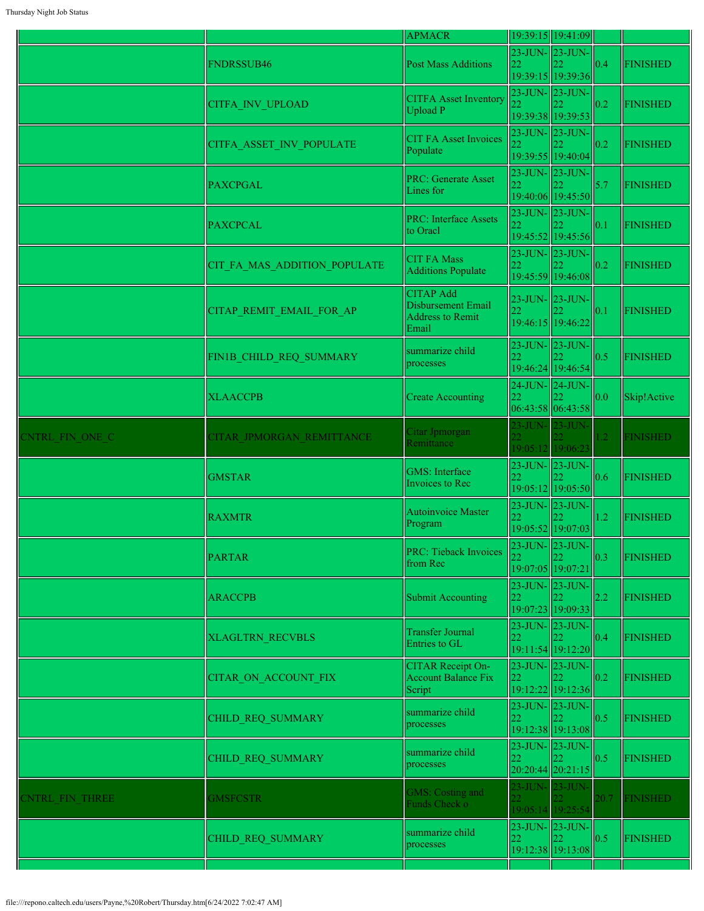|                       |                              | <b>APMACR</b>                                                              |            | 19:39:15 19:41:09                                       |                 |                 |
|-----------------------|------------------------------|----------------------------------------------------------------------------|------------|---------------------------------------------------------|-----------------|-----------------|
|                       | <b>FNDRSSUB46</b>            | <b>Post Mass Additions</b>                                                 | 22         | $23$ -JUN- $ 23$ -JUN- $ $<br>22.<br>19:39:15 19:39:36  | 0.4             | <b>FINISHED</b> |
|                       | <b>CITFA INV UPLOAD</b>      | <b>CITFA Asset Inventory</b><br>Upload P                                   |            | 23-JUN- 23-JUN-<br>19:39:38 19:39:53                    | $\parallel$ 0.2 | <b>FINISHED</b> |
|                       | CITFA ASSET INV POPULATE     | <b>CIT FA Asset Invoices</b><br>Populate                                   |            | $23$ -JUN- $ 23$ -JUN- $ $<br>19:39:55 19:40:04         | $\parallel$ 0.2 | <b>FINISHED</b> |
|                       | <b>PAXCPGAL</b>              | <b>PRC: Generate Asset</b><br>Lines for                                    | 22         | $23$ -JUN- $\ 23$ -JUN-<br>19:40:06 19:45:50            | 5.7             | <b>FINISHED</b> |
|                       | <b>PAXCPCAL</b>              | <b>PRC: Interface Assets</b><br>to Oracl                                   | 22         | $23$ -JUN- $ 23$ -JUN- $ $<br>19:45:52 19:45:56         | 0.1             | <b>FINISHED</b> |
|                       | CIT FA MAS ADDITION POPULATE | <b>CIT FA Mass</b><br><b>Additions Populate</b>                            | 22         | 23-JUN-23-JUN-<br>19:45:59 19:46:08                     | $\parallel$ 0.2 | <b>FINISHED</b> |
|                       | CITAP_REMIT_EMAIL_FOR_AP     | <b>CITAP Add</b><br>Disbursement Email<br><b>Address to Remit</b><br>Email |            | 23-JUN- 23-JUN-<br>19:46:15 19:46:22                    | $\vert$ 0.1     | <b>FINISHED</b> |
|                       | FIN1B CHILD REQ SUMMARY      | summarize child<br>processes                                               | 22         | $23$ -JUN- $ 23$ -JUN- $ $<br>19:46:24 19:46:54         | 0.5             | <b>FINISHED</b> |
|                       | <b>XLAACCPB</b>              | <b>Create Accounting</b>                                                   | 22         | 24-JUN- 24-JUN-<br>06:43:58 06:43:58                    | 0.0             | Skip!Active     |
| <b>NTRL FIN ONE C</b> | CITAR JPMORGAN REMITTANCE    | Citar Jpmorgan<br>Remittance                                               | $23$ -JUN- | $23$ -JUN-<br>19:05:12 19:06:23                         | 1.2             | <b>FINISHED</b> |
|                       | <b>GMSTAR</b>                | <b>GMS</b> : Interface<br>Invoices to Rec                                  | 22         | 23-JUN- 23-JUN-<br>22<br>19:05:12 19:05:50              | $\vert$ 0.6     | <b>FINISHED</b> |
|                       | <b>RAXMTR</b>                | <b>Autoinvoice Master</b><br>Program                                       | 22         | $23$ -JUN- $ 23$ -JUN- $ $<br>19:05:52 19:07:03         | 1.2             | <b>FINISHED</b> |
|                       | <b>PARTAR</b>                | PRC: Tieback Invoices<br>from Rec                                          | 22         | $ 23$ -JUN- $ 23$ -JUN- $ $<br>22.<br>19:07:05 19:07:21 | $\vert$ 0.3     | <b>FINISHED</b> |
|                       | <b>ARACCPB</b>               | <b>Submit Accounting</b>                                                   | 22         | $23$ -JUN- $\vert 23$ -JUN-<br>22.<br>19:07:23 19:09:33 | 2.2             | <b>FINISHED</b> |
|                       | <b>XLAGLTRN RECVBLS</b>      | <b>Transfer Journal</b><br>Entries to GL                                   | 22         | $23$ -JUN- $ 23$ -JUN- $ $<br>19:11:54 19:12:20         | $\vert$ 0.4     | <b>FINISHED</b> |
|                       | <b>CITAR ON ACCOUNT FIX</b>  | <b>CITAR Receipt On-</b><br><b>Account Balance Fix</b><br>Script           | 22         | 23-JUN- 23-JUN-<br>19:12:22 19:12:36                    | $\vert$ 0.2     | <b>FINISHED</b> |
|                       | CHILD REQ SUMMARY            | summarize child<br>processes                                               | 22         | $23$ -JUN- $ 23$ -JUN- $ $<br>22<br>19:12:38 19:13:08   | $\parallel$ 0.5 | <b>FINISHED</b> |
|                       | CHILD REQ SUMMARY            | summarize child<br>processes                                               | 22         | $23$ -JUN- $ 23$ -JUN- $ $<br>22<br>20:20:44 20:21:15   | $\vert$ 0.5     | <b>FINISHED</b> |
| <b>NTRL FIN THREE</b> | <b>GMSFCSTR</b>              | GMS: Costing and<br>Funds Check o                                          |            | 23-JUN- 23-JUN-<br>19:05:14 19:25:54                    | 20.7            | <b>FINISHED</b> |
|                       | CHILD REQ SUMMARY            | summarize child<br>processes                                               | 22         | 23-JUN-23-JUN-<br>22<br>19:12:38 19:13:08               | $\vert$ 0.5     | <b>FINISHED</b> |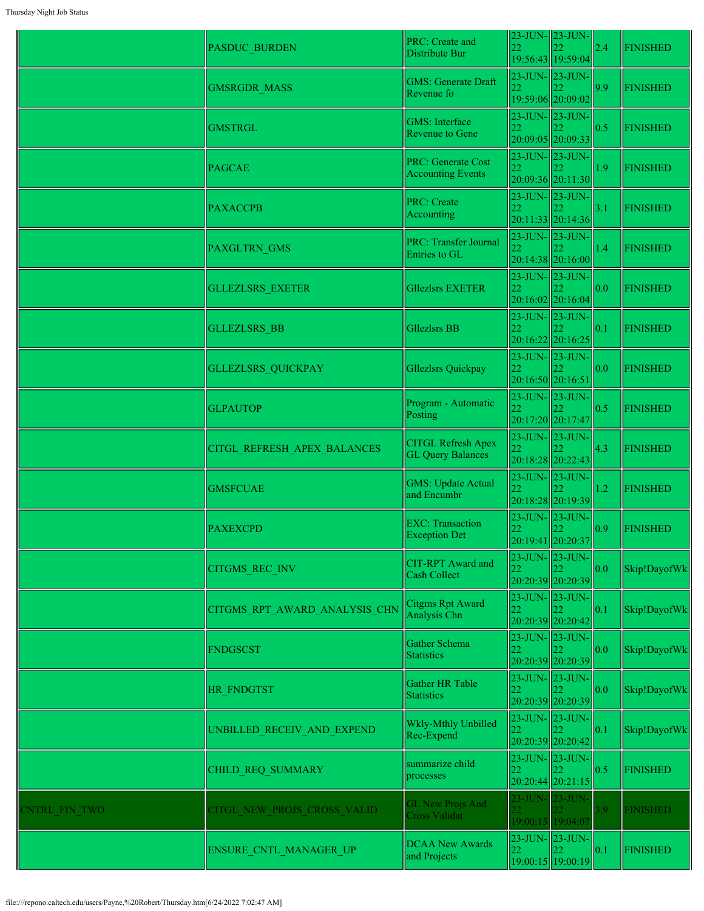|               | <b>PASDUC BURDEN</b>          | PRC: Create and<br>Distribute Bur                     | 22                      | $23$ -JUN- $\vert$ 23-JUN-<br>19:56:43 19:59:04          | 2.4 | <b>FINISHED</b> |
|---------------|-------------------------------|-------------------------------------------------------|-------------------------|----------------------------------------------------------|-----|-----------------|
|               | <b>GMSRGDR MASS</b>           | <b>GMS: Generate Draft</b><br>Revenue fo              | 22.                     | 23-JUN-23-JUN-<br>19:59:06 20:09:02                      | 9.9 | <b>FINISHED</b> |
|               | <b>GMSTRGL</b>                | <b>GMS</b> : Interface<br><b>Revenue to Gene</b>      | 22                      | $23$ -JUN- $\vert$ 23-JUN-<br>20:09:05 20:09:33          | 0.5 | <b>FINISHED</b> |
|               | <b>PAGCAE</b>                 | PRC: Generate Cost<br><b>Accounting Events</b>        | 22                      | 23-JUN-23-JUN-<br>20:09:36 20:11:30                      | 1.9 | <b>FINISHED</b> |
|               | <b>PAXACCPB</b>               | PRC: Create<br>Accounting                             | 22                      | $23$ -JUN- $\vert$ 23-JUN-<br>20:11:33 20:14:36          | 3.1 | <b>FINISHED</b> |
|               | PAXGLTRN_GMS                  | <b>PRC: Transfer Journal</b><br>Entries to GL         | 23-JUN-23-JUN-<br>22    | 20:14:38 20:16:00                                        | 1.4 | <b>FINISHED</b> |
|               | <b>GLLEZLSRS EXETER</b>       | Gllezlsrs EXETER                                      | 22                      | 23-JUN-23-JUN-<br>20:16:02 20:16:04                      | 0.0 | <b>FINISHED</b> |
|               | <b>GLLEZLSRS BB</b>           | Gllezlsrs BB                                          | 22                      | $23$ -JUN- $23$ -JUN-<br>20:16:22 20:16:25               | 0.1 | <b>FINISHED</b> |
|               | <b>GLLEZLSRS QUICKPAY</b>     | Gllezlsrs Quickpay                                    | 22<br>20:16:50 20:16:51 | 23-JUN- 23-JUN-                                          | 0.0 | <b>FINISHED</b> |
|               | <b>GLPAUTOP</b>               | Program - Automatic<br>Posting                        | 22                      | 23-JUN- 23-JUN-<br>20:17:20 20:17:47                     | 0.5 | <b>FINISHED</b> |
|               | CITGL REFRESH APEX BALANCES   | <b>CITGL Refresh Apex</b><br><b>GL Query Balances</b> |                         | $23$ -JUN- $\vert$ 23-JUN-<br>20:18:28 20:22:43          | 4.3 | <b>FINISHED</b> |
|               | <b>GMSFCUAE</b>               | <b>GMS: Update Actual</b><br>and Encumbr              | 22                      | 23-JUN-23-JUN-<br>20:18:28 20:19:39                      | 1.2 | <b>FINISHED</b> |
|               | <b>PAXEXCPD</b>               | <b>EXC:</b> Transaction<br><b>Exception Det</b>       | 22                      | $23$ -JUN- $\vert 23$ -JUN- $\vert$<br>20:19:41 20:20:37 | 0.9 | <b>FINISHED</b> |
|               | CITGMS_REC_INV                | <b>CIT-RPT</b> Award and<br>Cash Collect              |                         | $23$ -JUN- $23$ -JUN-<br>20:20:39 20:20:39               | 0.0 | Skip!DayofWk    |
|               | CITGMS RPT AWARD ANALYSIS CHN | Citgms Rpt Award<br>Analysis Chn                      | 22                      | 23-JUN- 23-JUN-<br>20:20:39 20:20:42                     | 0.1 | Skip!DayofWk    |
|               | <b>FNDGSCST</b>               | Gather Schema<br><b>Statistics</b>                    | 22                      | $23$ -JUN- $\vert$ 23-JUN-<br>20:20:39 20:20:39          | 0.0 | Skip!DayofWk    |
|               | <b>HR FNDGTST</b>             | Gather HR Table<br><b>Statistics</b>                  | 22                      | $23$ -JUN- $\vert$ 23-JUN-<br>20:20:39 20:20:39          | 0.0 | Skip!DayofWk    |
|               | UNBILLED RECEIV AND EXPEND    | Wkly-Mthly Unbilled<br>Rec-Expend                     | 22                      | $23$ -JUN- $23$ -JUN-<br>20:20:39 20:20:42               | 0.1 | Skip!DayofWk    |
|               | CHILD_REQ_SUMMARY             | summarize child<br>processes                          | 22                      | $23$ -JUN- $23$ -JUN-<br>$20:20:44$ 20:21:15             | 0.5 | <b>FINISHED</b> |
| CNTRL FIN TWO | CITGL NEW PROJS CROSS VALID   | <b>GL New Projs And</b><br><b>Cross Validat</b>       | 23-JUN- 23-JUN-         | 19:00:15 19:04:07                                        | 3.9 | <b>FINISHED</b> |
|               | ENSURE_CNTL_MANAGER_UP        | <b>DCAA New Awards</b><br>and Projects                | 23-JUN- 23-JUN-<br>22   | 22<br>19:00:15 19:00:19                                  | 0.1 | <b>FINISHED</b> |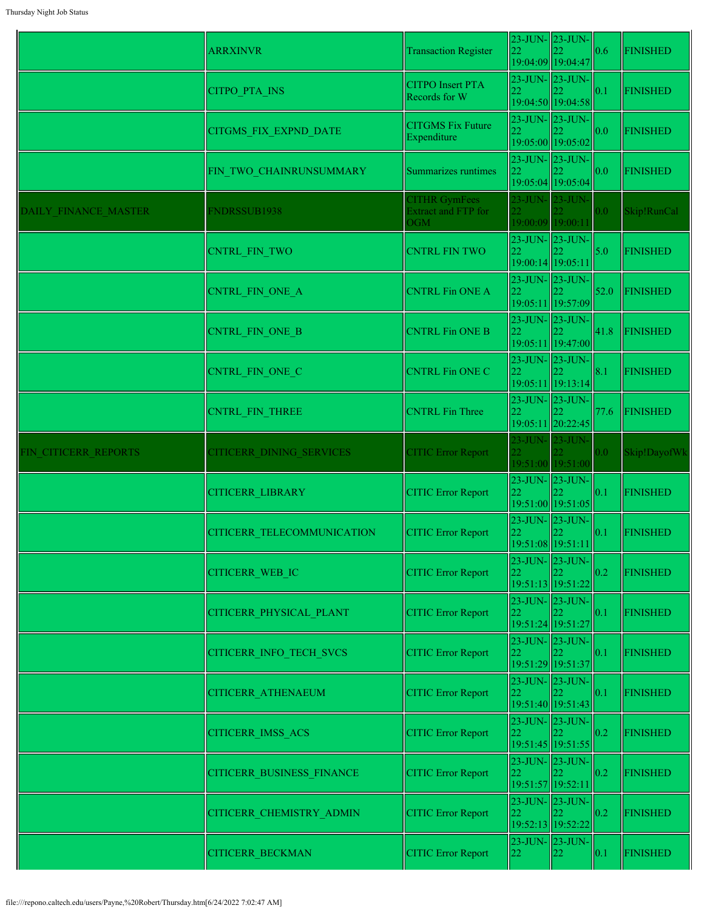|                      | <b>ARRXINVR</b>                  | <b>Transaction Register</b>                               | 22                               | 23-JUN- 23-JUN-<br>19:04:09 19:04:47                     | 0.6  | <b>FINISHED</b> |
|----------------------|----------------------------------|-----------------------------------------------------------|----------------------------------|----------------------------------------------------------|------|-----------------|
|                      | <b>CITPO PTA INS</b>             | <b>CITPO</b> Insert PTA<br>Records for W                  | 22                               | $23$ -JUN- $\vert 23$ -JUN-<br>19:04:50 19:04:58         | 0.1  | <b>FINISHED</b> |
|                      | CITGMS_FIX_EXPND_DATE            | <b>CITGMS Fix Future</b><br>Expenditure                   | 22                               | $23$ -JUN- $\vert 23$ -JUN-<br>19:05:00 19:05:02         | 0.0  | <b>FINISHED</b> |
|                      | FIN TWO CHAINRUNSUMMARY          | Summarizes runtimes                                       | 22                               | $23$ -JUN- $\vert 23$ -JUN-<br>19:05:04 19:05:04         | 0.0  | <b>FINISHED</b> |
| DAILY FINANCE MASTER | FNDRSSUB1938                     | <b>CITHR GymFees</b><br><b>Extract and FTP for</b><br>OGM | 23-JUN- 23-JUN-                  | 19:00:09 19:00:11                                        | 0.0  | Skip!RunCal     |
|                      | <b>CNTRL FIN TWO</b>             | <b>CNTRL FIN TWO</b>                                      | 22<br>19:00:14 19:05:11          | 23-JUN- 23-JUN-                                          | 5.0  | <b>FINISHED</b> |
|                      | CNTRL_FIN_ONE_A                  | <b>CNTRL Fin ONE A</b>                                    | 23-JUN- 23-JUN-<br>22            | 19:05:11 19:57:09                                        | 52.0 | FINISHED        |
|                      | CNTRL_FIN_ONE_B                  | <b>CNTRL Fin ONE B</b>                                    | 23-JUN-23-JUN-<br>22             | 19:05:11 19:47:00                                        | 41.8 | <b>FINISHED</b> |
|                      | CNTRL FIN ONE C                  | <b>CNTRL Fin ONE C</b>                                    | 22                               | $23$ -JUN- $\vert 23$ -JUN- $\vert$<br>19:05:11 19:13:14 | 8.1  | <b>FINISHED</b> |
|                      | CNTRL FIN THREE                  | <b>CNTRL Fin Three</b>                                    | 23-JUN- 23-JUN-<br>22            | 19:05:11 20:22:45                                        | 77.6 | FINISHED        |
| FIN CITICERR REPORTS | CITICERR DINING SERVICES         | <b>CITIC Error Report</b>                                 | 23-JUN- 23-JUN-                  | 19:51:00 19:51:00                                        | 0.0  | Skip!DayofWk    |
|                      | <b>CITICERR LIBRARY</b>          | <b>CITIC Error Report</b>                                 | 22                               | $23$ -JUN- $\vert$ 23-JUN-<br>19:51:00 19:51:05          | 0.1  | <b>FINISHED</b> |
|                      | CITICERR TELECOMMUNICATION       | <b>CITIC Error Report</b>                                 | $23$ -JUN- $\vert$ 23-JUN-<br>22 | 19:51:08 19:51:11                                        | 0.1  | <b>FINISHED</b> |
|                      | <b>CITICERR WEB IC</b>           | <b>CITIC Error Report</b>                                 | 22                               | 23-JUN- 23-JUN-<br>19:51:13 19:51:22                     | 0.2  | <b>FINISHED</b> |
|                      | CITICERR PHYSICAL PLANT          | <b>CITIC Error Report</b>                                 | $23$ -JUN- $23$ -JUN-<br>22      | 19:51:24 19:51:27                                        | 0.1  | <b>FINISHED</b> |
|                      | CITICERR_INFO_TECH_SVCS          | <b>CITIC Error Report</b>                                 | $23$ -JUN- $23$ -JUN-<br>22      | 19:51:29 19:51:37                                        | 0.1  | <b>FINISHED</b> |
|                      | CITICERR_ATHENAEUM               | <b>CITIC Error Report</b>                                 | 22                               | $23$ -JUN- $\vert 23$ -JUN-<br>19:51:40 19:51:43         | 0.1  | <b>FINISHED</b> |
|                      | CITICERR_IMSS_ACS                | <b>CITIC Error Report</b>                                 | 22                               | $23$ -JUN- $\vert 23$ -JUN- $\vert$<br>19:51:45 19:51:55 | 0.2  | <b>FINISHED</b> |
|                      | <b>CITICERR BUSINESS FINANCE</b> | <b>CITIC Error Report</b>                                 | 22<br>19:51:57 19:52:11          | $23$ -JUN- $23$ -JUN-                                    | 0.2  | <b>FINISHED</b> |
|                      | CITICERR_CHEMISTRY_ADMIN         | <b>CITIC Error Report</b>                                 | 22                               | 23-JUN- 23-JUN-<br>19:52:13 19:52:22                     | 0.2  | <b>FINISHED</b> |
|                      | CITICERR_BECKMAN                 | <b>CITIC Error Report</b>                                 | $23$ -JUN- $23$ -JUN-<br>22      | 22                                                       | 0.1  | <b>FINISHED</b> |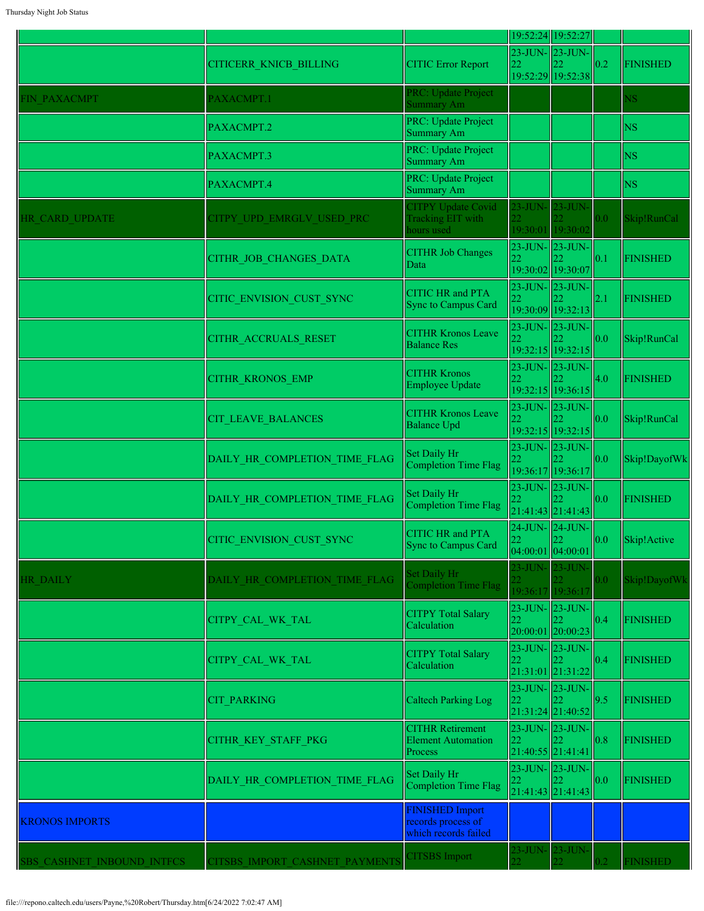|                            |                                |                                                                      |                                            | 19:52:24 19:52:27                                         |                        |                 |
|----------------------------|--------------------------------|----------------------------------------------------------------------|--------------------------------------------|-----------------------------------------------------------|------------------------|-----------------|
|                            | <b>CITICERR KNICB BILLING</b>  | <b>CITIC Error Report</b>                                            | 22                                         | 23-JUN- 23-JUN-<br>19:52:29 19:52:38                      | $\vert 0.2 \vert$      | <b>FINISHED</b> |
| FIN PAXACMPT               | PAXACMPT.1                     | PRC: Update Project<br>Summary Am                                    |                                            |                                                           |                        | NS.             |
|                            | PAXACMPT.2                     | PRC: Update Project<br>Summary Am                                    |                                            |                                                           |                        | <b>NS</b>       |
|                            | PAXACMPT.3                     | PRC: Update Project<br>Summary Am                                    |                                            |                                                           |                        | <b>NS</b>       |
|                            | PAXACMPT.4                     | PRC: Update Project<br>Summary Am                                    |                                            |                                                           |                        | <b>NS</b>       |
| HR CARD UPDATE             | CITPY UPD EMRGLV USED PRC      | <b>CITPY Update Covid</b><br>Tracking EIT with<br>hours used         | $23$ -JUN-                                 | $23$ -JUN-<br>19:30:01 19:30:02                           | 0.0                    | Skip!RunCal     |
|                            | CITHR JOB CHANGES DATA         | <b>CITHR Job Changes</b><br>Data                                     |                                            | 23-JUN- 23-JUN-<br>19:30:02 19:30:07                      | $\vert 0.1$            | <b>FINISHED</b> |
|                            | CITIC ENVISION CUST SYNC       | <b>CITIC HR and PTA</b><br>Sync to Campus Card                       |                                            | $23$ -JUN- $23$ -JUN-<br>19:30:09 19:32:13                | 2.1                    | <b>FINISHED</b> |
|                            | CITHR ACCRUALS RESET           | <b>CITHR Kronos Leave</b><br><b>Balance Res</b>                      |                                            | 23-JUN- 23-JUN-<br>19:32:15 19:32:15                      | $\parallel$ 0.0        | Skip!RunCal     |
|                            | <b>CITHR KRONOS EMP</b>        | <b>CITHR Kronos</b><br>Employee Update                               |                                            | 23-JUN-23-JUN-<br>19:32:15 19:36:15                       | $\parallel$ 4.0        | <b>FINISHED</b> |
|                            | CIT LEAVE BALANCES             | <b>CITHR Kronos Leave</b><br><b>Balance Upd</b>                      |                                            | 23-JUN- 23-JUN-<br>19:32:15 19:32:15                      | 0.0                    | Skip!RunCal     |
|                            | DAILY HR COMPLETION TIME FLAG  | Set Daily Hr<br>Completion Time Flag                                 | 22                                         | 23-JUN- 23-JUN-<br>19:36:17 19:36:17                      | 0.0                    | Skip!DayofWk    |
|                            | DAILY HR COMPLETION TIME FLAG  | Set Daily Hr<br>Completion Time Flag                                 | 22                                         | $23$ -JUN- $ 23$ -JUN-<br>21:41:43 21:41:43               | 0.0                    | <b>FINISHED</b> |
|                            | CITIC_ENVISION_CUST_SYNC       | <b>CITIC HR and PTA</b><br><b>Sync to Campus Card</b>                |                                            | 24-JUN- 24-JUN-<br>$\vert \vert$ 22<br> 04:00:01 04:00:01 | $\vert\vert 0.0 \vert$ | Skip!Active     |
| <b>HR DAILY</b>            | DAILY HR COMPLETION TIME FLAG  | Set Daily Hr<br><b>Completion Time Flag</b>                          |                                            | 23-JUN- 23-JUN-<br>19:36:17 19:36:17                      | 0.0                    | Skip!DayofWk    |
|                            | CITPY_CAL_WK_TAL               | <b>CITPY Total Salary</b><br>Calculation                             | 22                                         | $23$ -JUN- $\vert$ 23-JUN-<br>20:00:01 20:00:23           | $\parallel$ 0.4        | <b>FINISHED</b> |
|                            | CITPY_CAL_WK_TAL               | <b>CITPY Total Salary</b><br>Calculation                             | 22<br>21:31:01 21:31:22                    | $23$ -JUN- $23$ -JUN-                                     | $\sqrt{0.4}$           | <b>FINISHED</b> |
|                            | <b>CIT PARKING</b>             | <b>Caltech Parking Log</b>                                           | 22                                         | 23-JUN- 23-JUN-<br>21:31:24 21:40:52                      | 9.5                    | <b>FINISHED</b> |
|                            | CITHR_KEY_STAFF_PKG            | <b>CITHR Retirement</b><br><b>Element Automation</b><br>Process      | 23-JUN- 23-JUN-<br>22<br>21:40:55 21:41:41 |                                                           | 0.8                    | <b>FINISHED</b> |
|                            | DAILY HR COMPLETION TIME FLAG  | Set Daily Hr<br>Completion Time Flag                                 | 22                                         | $23$ -JUN- $23$ -JUN-<br>22<br>21:41:43 21:41:43          | 0.0                    | <b>FINISHED</b> |
| <b>KRONOS IMPORTS</b>      |                                | <b>FINISHED Import</b><br>records process of<br>which records failed |                                            |                                                           |                        |                 |
| SBS CASHNET INBOUND INTFCS | CITSBS IMPORT CASHNET PAYMENTS | <b>CITSBS</b> Import                                                 | $23$ -JUN-                                 | $23$ -JUN-                                                | $2^{0.2}$              | <b>FINISHED</b> |